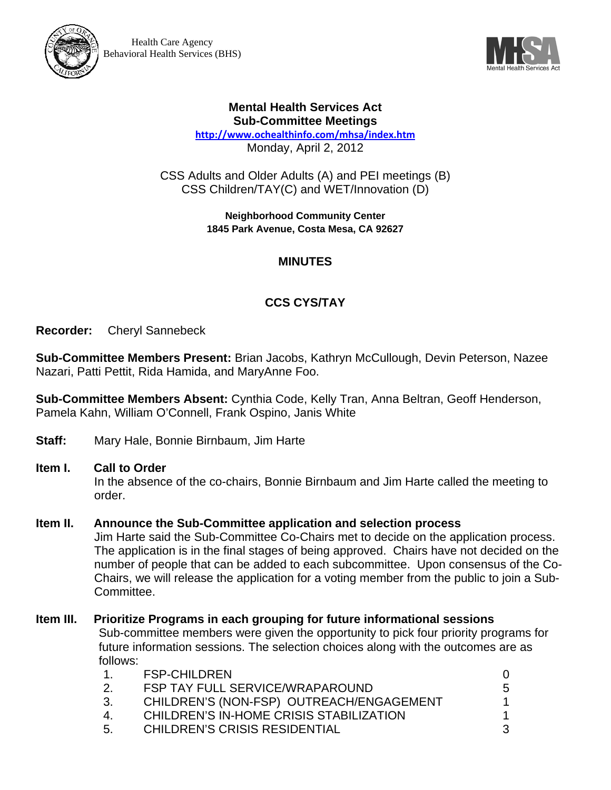



### **Mental Health Services Act Sub-Committee Meetings**

**http://www.ochealthinfo.com/mhsa/index.htm** Monday, April 2, 2012

CSS Adults and Older Adults (A) and PEI meetings (B) CSS Children/TAY(C) and WET/Innovation (D)

> **Neighborhood Community Center 1845 Park Avenue, Costa Mesa, CA 92627**

## **MINUTES**

# **CCS CYS/TAY**

**Recorder:** Cheryl Sannebeck

**Sub-Committee Members Present:** Brian Jacobs, Kathryn McCullough, Devin Peterson, Nazee Nazari, Patti Pettit, Rida Hamida, and MaryAnne Foo.

**Sub-Committee Members Absent:** Cynthia Code, Kelly Tran, Anna Beltran, Geoff Henderson, Pamela Kahn, William O'Connell, Frank Ospino, Janis White

**Staff:** Mary Hale, Bonnie Birnbaum, Jim Harte

#### **Item I. Call to Order**

In the absence of the co-chairs, Bonnie Birnbaum and Jim Harte called the meeting to order.

#### **Item II. Announce the Sub-Committee application and selection process**

Jim Harte said the Sub-Committee Co-Chairs met to decide on the application process. The application is in the final stages of being approved. Chairs have not decided on the number of people that can be added to each subcommittee. Upon consensus of the Co-Chairs, we will release the application for a voting member from the public to join a Sub-Committee.

# **Item III. Prioritize Programs in each grouping for future informational sessions**

Sub-committee members were given the opportunity to pick four priority programs for future information sessions. The selection choices along with the outcomes are as follows:

|                    | <b>FSP-CHILDREN</b>                      |    |
|--------------------|------------------------------------------|----|
| <sup>2.</sup>      | <b>FSP TAY FULL SERVICE/WRAPAROUND</b>   | 5. |
| 3.                 | CHILDREN'S (NON-FSP) OUTREACH/ENGAGEMENT |    |
| $\mathbf{\Lambda}$ | CHILDREN'S IN-HOME CRISIS STABILIZATION  |    |
| .5.                | <b>CHILDREN'S CRISIS RESIDENTIAL</b>     |    |